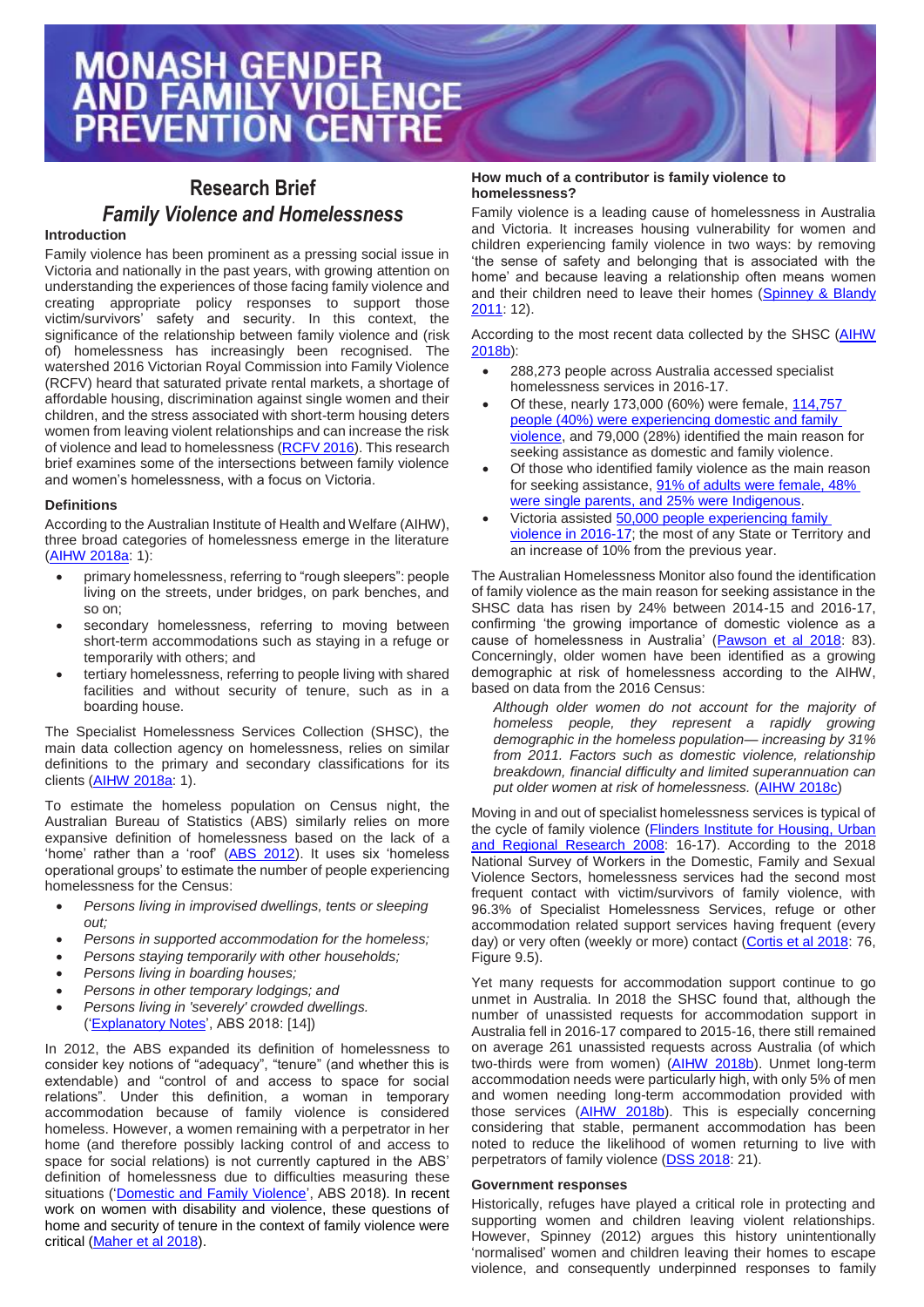# **Research Brief** *Family Violence and Homelessness*

# **Introduction**

Family violence has been prominent as a pressing social issue in Victoria and nationally in the past years, with growing attention on understanding the experiences of those facing family violence and creating appropriate policy responses to support those victim/survivors' safety and security. In this context, the significance of the relationship between family violence and (risk of) homelessness has increasingly been recognised. The watershed 2016 Victorian Royal Commission into Family Violence (RCFV) heard that saturated private rental markets, a shortage of affordable housing, discrimination against single women and their children, and the stress associated with short-term housing deters women from leaving violent relationships and can increase the risk of violence and lead to homelessness [\(RCFV 2016\)](http://www.rcfv.com.au/MediaLibraries/RCFamilyViolence/Reports/Final/RCFV-Vol-II.pdf). This research brief examines some of the intersections between family violence and women's homelessness, with a focus on Victoria.

# **Definitions**

According to the Australian Institute of Health and Welfare (AIHW), three broad categories of homelessness emerge in the literature [\(AIHW 2018a:](https://www.aihw.gov.au/getmedia/96b4d8ce-d82c-4149-92aa-2784698795ba/aihw-hou-297.pdf.aspx?inline=true) 1):

- primary homelessness, referring to "rough sleepers": people living on the streets, under bridges, on park benches, and so on;
- secondary homelessness, referring to moving between short-term accommodations such as staying in a refuge or temporarily with others; and
- tertiary homelessness, referring to people living with shared facilities and without security of tenure, such as in a boarding house.

The Specialist Homelessness Services Collection (SHSC), the main data collection agency on homelessness, relies on similar definitions to the primary and secondary classifications for its clients [\(AIHW 2018a:](https://www.aihw.gov.au/getmedia/96b4d8ce-d82c-4149-92aa-2784698795ba/aihw-hou-297.pdf.aspx?inline=true) 1).

To estimate the homeless population on Census night, the Australian Bureau of Statistics (ABS) similarly relies on more expansive definition of homelessness based on the lack of a 'home' rather than a 'roof' (ABS [2012\)](http://www.abs.gov.au/AUSSTATS/abs@.nsf/Latestproducts/8B208E0F4F6ECC9FCA257A6E0017FCC7?opendocument). It uses six 'homeless operational groups' to estimate the number of people experiencing homelessness for the Census:

- *Persons living in improvised dwellings, tents or sleeping out;*
- *Persons in supported accommodation for the homeless;*
- *Persons staying temporarily with other households;*
- *Persons living in boarding houses;*
- *Persons in other temporary lodgings; and*
- *Persons living in 'severely' crowded dwellings.*  [\('Explanatory Notes',](http://www.abs.gov.au/AUSSTATS/abs@.nsf/Latestproducts/2049.0Explanatory%20Notes12016?opendocument&tabname=Notes&prodno=2049.0&issue=2016&num=&view=) ABS 2018: [14])

In 2012, the ABS expanded its definition of homelessness to consider key notions of "adequacy", "tenure" (and whether this is extendable) and "control of and access to space for social relations". Under this definition, a woman in temporary accommodation because of family violence is considered homeless. However, a women remaining with a perpetrator in her home (and therefore possibly lacking control of and access to space for social relations) is not currently captured in the ABS' definition of homelessness due to difficulties measuring these situations [\('Domestic and Family Violence',](http://www.abs.gov.au/AUSSTATS/abs@.nsf/Latestproducts/2049.0Main%20Features452016?opendocument&tabname=Summary&prodno=2049.0&issue=2016&num=&view=) ABS 2018). In recent work on women with disability and violence, these questions of home and security of tenure in the context of family violence were critical [\(Maher et al 2018\)](https://www.anrows.org.au/publications/horizons/women-disability-and-violence-barriers-accessing-justice-final-report).

### **How much of a contributor is family violence to homelessness?**

Family violence is a leading cause of homelessness in Australia and Victoria. It increases housing vulnerability for women and children experiencing family violence in two ways: by removing 'the sense of safety and belonging that is associated with the home' and because leaving a relationship often means women and their children need to leave their homes [\(Spinney &](https://www.ahuri.edu.au/__data/assets/pdf_file/0014/2831/AHURI_Positioning_Paper_No140_Homelessness-prevention-for-women-and-children-who-have-experienced-domestic-and-family-violence-innovations.pdf) Blandy [2011:](https://www.ahuri.edu.au/__data/assets/pdf_file/0014/2831/AHURI_Positioning_Paper_No140_Homelessness-prevention-for-women-and-children-who-have-experienced-domestic-and-family-violence-innovations.pdf) 12).

According to the most recent data collected by the SHSC [\(AIHW](https://www.aihw.gov.au/reports/homelessness-services/specialist-homelessness-services-2016-17/contents/clients-services-and-outcomes)  [2018b\)](https://www.aihw.gov.au/reports/homelessness-services/specialist-homelessness-services-2016-17/contents/clients-services-and-outcomes):

- 288,273 people across Australia accessed specialist homelessness services in 2016-17.
- Of these, nearly 173,000 (60%) were female[, 114,757](https://www.aihw.gov.au/reports/homelessness-services/specialist-homelessness-services-2016-17/contents/client-groups-of-interest/clients-who-have-experienced-domestic-and-family-violence)  people (40%) [were experiencing domestic and family](https://www.aihw.gov.au/reports/homelessness-services/specialist-homelessness-services-2016-17/contents/client-groups-of-interest/clients-who-have-experienced-domestic-and-family-violence)  [violence,](https://www.aihw.gov.au/reports/homelessness-services/specialist-homelessness-services-2016-17/contents/client-groups-of-interest/clients-who-have-experienced-domestic-and-family-violence) and 79,000 (28%) identified the main reason for seeking assistance as domestic and family violence.
- Of those who identified family violence as the main reason for seeking assistance, [91% of adults were female, 48%](https://www.aihw.gov.au/reports/homelessness-services/specialist-homelessness-services-2016-17/contents/client-groups-of-interest/clients-who-have-experienced-domestic-and-family-violence)  [were single parents, and 25% were Indigenous.](https://www.aihw.gov.au/reports/homelessness-services/specialist-homelessness-services-2016-17/contents/client-groups-of-interest/clients-who-have-experienced-domestic-and-family-violence)
- Victoria assisted 50,000 people experiencing family [violence in 2016-17;](https://www.aihw.gov.au/reports/homelessness-services/specialist-homelessness-services-2016-17/contents/client-groups-of-interest/clients-who-have-experienced-domestic-and-family-violence) the most of any State or Territory and an increase of 10% from the previous year.

The Australian Homelessness Monitor also found the identification of family violence as the main reason for seeking assistance in the SHSC data has risen by 24% between 2014-15 and 2016-17, confirming 'the growing importance of domestic violence as a cause of homelessness in Australia' [\(Pawson et al 2018:](https://issr.uq.edu.au/files/3347/FINAL_for_print_AHM_full_report.pdf) 83). Concerningly, older women have been identified as a growing demographic at risk of homelessness according to the AIHW, based on data from the 2016 Census:

*Although older women do not account for the majority of homeless people, they represent a rapidly growing demographic in the homeless population— increasing by 31% from 2011. Factors such as domestic violence, relationship breakdown, financial difficulty and limited superannuation can put older women at risk of homelessness.* [\(AIHW 2018c\)](https://www.aihw.gov.au/reports/older-people/older-australia-at-a-glance/contents/diverse-groups-of-older-australians/people-at-risk-of-homelessness)

Moving in and out of specialist homelessness services is typical of the cycle of family violence (Flinders Institute for Housing, Urban [and Regional Research 2008:](https://www.dss.gov.au/sites/default/files/documents/05_2012/synthesis_report2008.pdf) 16-17). According to the 2018 National Survey of Workers in the Domestic, Family and Sexual Violence Sectors, homelessness services had the second most frequent contact with victim/survivors of family violence, with 96.3% of Specialist Homelessness Services, refuge or other accommodation related support services having frequent (every day) or very often (weekly or more) contact [\(Cortis et al 2018:](http://apo.org.au/system/files/192411/apo-nid192411-1006351.pdf) 76, Figure 9.5).

Yet many requests for accommodation support continue to go unmet in Australia. In 2018 the SHSC found that, although the number of unassisted requests for accommodation support in Australia fell in 2016-17 compared to 2015-16, there still remained on average 261 unassisted requests across Australia (of which two-thirds were from women) [\(AIHW 2018b\)](https://www.aihw.gov.au/reports/homelessness-services/specialist-homelessness-services-2016-17/contents/unmet-demand-for-specialist-homelessness-services). Unmet long-term accommodation needs were particularly high, with only 5% of men and women needing long-term accommodation provided with those services [\(AIHW 2018b\)](https://www.aihw.gov.au/reports/homelessness-services/specialist-homelessness-services-2016-17/contents/unmet-demand-for-specialist-homelessness-services). This is especially concerning considering that stable, permanent accommodation has been noted to reduce the likelihood of women returning to live with perpetrators of family violence (DSS [2018:](https://plan4womenssafety.dss.gov.au/wp-content/uploads/2018/09/revised-background-and-evidence-paper_1.pdf) 21).

### **Government responses**

Historically, refuges have played a critical role in protecting and supporting women and children leaving violent relationships. However, Spinney (2012) argues this history unintentionally 'normalised' women and children leaving their homes to escape violence, and consequently underpinned responses to family